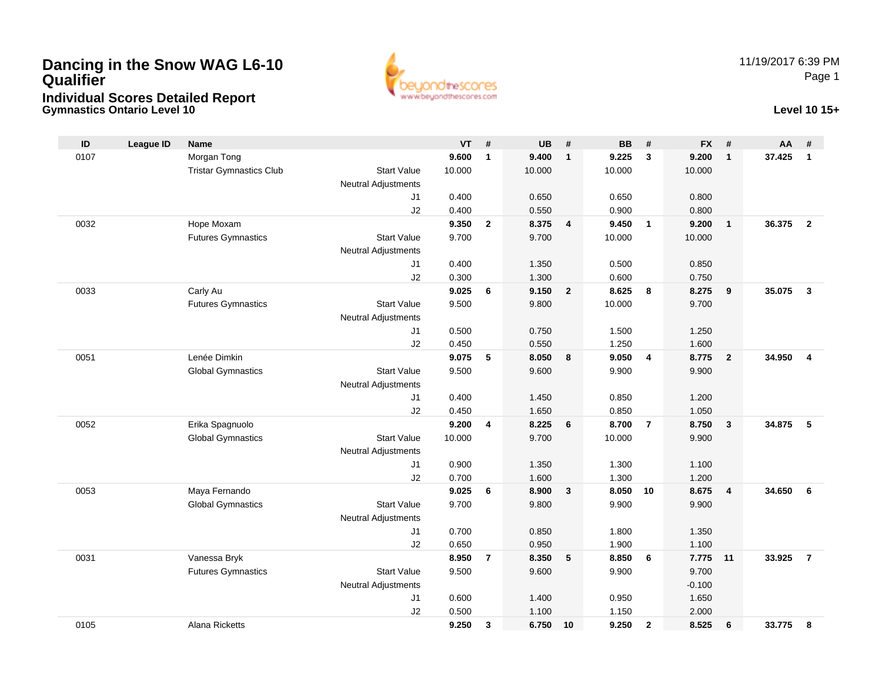## **Dancing in the Snow WAG L6-10 QualifierIndividual Scores Detailed Report**

**Gymnastics Ontario Level 10**



## **Level 10 15+**

| ID   | <b>League ID</b> | <b>Name</b>                    |                            | <b>VT</b> | #              | <b>UB</b> | #              | <b>BB</b> | #              | <b>FX</b> | #              | <b>AA</b> | #              |
|------|------------------|--------------------------------|----------------------------|-----------|----------------|-----------|----------------|-----------|----------------|-----------|----------------|-----------|----------------|
| 0107 |                  | Morgan Tong                    |                            | 9.600     | $\mathbf{1}$   | 9.400     | $\mathbf{1}$   | 9.225     | 3              | 9.200     | $\mathbf{1}$   | 37.425    | $\mathbf{1}$   |
|      |                  | <b>Tristar Gymnastics Club</b> | <b>Start Value</b>         | 10.000    |                | 10.000    |                | 10.000    |                | 10.000    |                |           |                |
|      |                  |                                | <b>Neutral Adjustments</b> |           |                |           |                |           |                |           |                |           |                |
|      |                  |                                | J1                         | 0.400     |                | 0.650     |                | 0.650     |                | 0.800     |                |           |                |
|      |                  |                                | J2                         | 0.400     |                | 0.550     |                | 0.900     |                | 0.800     |                |           |                |
| 0032 |                  | Hope Moxam                     |                            | 9.350     | $\overline{2}$ | 8.375     | $\overline{4}$ | 9.450     | $\mathbf{1}$   | 9.200     | $\overline{1}$ | 36.375    | $\overline{2}$ |
|      |                  | <b>Futures Gymnastics</b>      | <b>Start Value</b>         | 9.700     |                | 9.700     |                | 10.000    |                | 10.000    |                |           |                |
|      |                  |                                | <b>Neutral Adjustments</b> |           |                |           |                |           |                |           |                |           |                |
|      |                  |                                | J1                         | 0.400     |                | 1.350     |                | 0.500     |                | 0.850     |                |           |                |
|      |                  |                                | J2                         | 0.300     |                | 1.300     |                | 0.600     |                | 0.750     |                |           |                |
| 0033 |                  | Carly Au                       |                            | 9.025     | 6              | 9.150     | $\overline{2}$ | 8.625     | 8              | 8.275     | 9              | 35.075    | $\mathbf{3}$   |
|      |                  | <b>Futures Gymnastics</b>      | <b>Start Value</b>         | 9.500     |                | 9.800     |                | 10.000    |                | 9.700     |                |           |                |
|      |                  |                                | Neutral Adjustments        |           |                |           |                |           |                |           |                |           |                |
|      |                  |                                | J1                         | 0.500     |                | 0.750     |                | 1.500     |                | 1.250     |                |           |                |
|      |                  |                                | J2                         | 0.450     |                | 0.550     |                | 1.250     |                | 1.600     |                |           |                |
| 0051 |                  | Lenée Dimkin                   |                            | 9.075     | 5              | 8.050     | 8              | 9.050     | $\overline{4}$ | 8.775     | $\overline{2}$ | 34.950    | $\overline{4}$ |
|      |                  | <b>Global Gymnastics</b>       | <b>Start Value</b>         | 9.500     |                | 9.600     |                | 9.900     |                | 9.900     |                |           |                |
|      |                  |                                | <b>Neutral Adjustments</b> |           |                |           |                |           |                |           |                |           |                |
|      |                  |                                | J1                         | 0.400     |                | 1.450     |                | 0.850     |                | 1.200     |                |           |                |
|      |                  |                                | J2                         | 0.450     |                | 1.650     |                | 0.850     |                | 1.050     |                |           |                |
| 0052 |                  | Erika Spagnuolo                |                            | 9.200     | 4              | 8.225     | 6              | 8.700     | $\overline{7}$ | 8.750     | $\mathbf{3}$   | 34.875    | 5              |
|      |                  | <b>Global Gymnastics</b>       | <b>Start Value</b>         | 10.000    |                | 9.700     |                | 10.000    |                | 9.900     |                |           |                |
|      |                  |                                | <b>Neutral Adjustments</b> |           |                |           |                |           |                |           |                |           |                |
|      |                  |                                | J1                         | 0.900     |                | 1.350     |                | 1.300     |                | 1.100     |                |           |                |
|      |                  |                                | J2                         | 0.700     |                | 1.600     |                | 1.300     |                | 1.200     |                |           |                |
| 0053 |                  | Maya Fernando                  |                            | 9.025     | 6              | 8.900     | 3              | 8.050     | 10             | 8.675     | $\overline{4}$ | 34.650    | 6              |
|      |                  | <b>Global Gymnastics</b>       | <b>Start Value</b>         | 9.700     |                | 9.800     |                | 9.900     |                | 9.900     |                |           |                |
|      |                  |                                | <b>Neutral Adjustments</b> |           |                |           |                |           |                |           |                |           |                |
|      |                  |                                | J1                         | 0.700     |                | 0.850     |                | 1.800     |                | 1.350     |                |           |                |
|      |                  |                                | J2                         | 0.650     |                | 0.950     |                | 1.900     |                | 1.100     |                |           |                |
| 0031 |                  | Vanessa Bryk                   |                            | 8.950     | $\overline{7}$ | 8.350     | 5              | 8.850     | 6              | 7.775     | 11             | 33.925    | $\overline{7}$ |
|      |                  | <b>Futures Gymnastics</b>      | <b>Start Value</b>         | 9.500     |                | 9.600     |                | 9.900     |                | 9.700     |                |           |                |
|      |                  |                                | <b>Neutral Adjustments</b> |           |                |           |                |           |                | $-0.100$  |                |           |                |
|      |                  |                                | J1                         | 0.600     |                | 1.400     |                | 0.950     |                | 1.650     |                |           |                |
|      |                  |                                | J2                         | 0.500     |                | 1.100     |                | 1.150     |                | 2.000     |                |           |                |
| 0105 |                  | Alana Ricketts                 |                            | 9.250     | 3              | 6.750     | 10             | 9.250     | $\overline{2}$ | 8.525     | 6              | 33.775    | 8              |